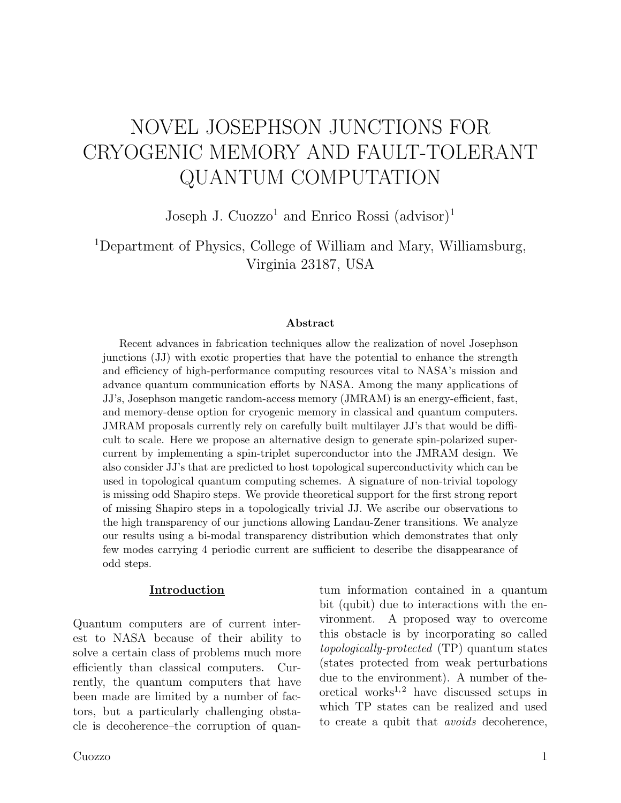# NOVEL JOSEPHSON JUNCTIONS FOR CRYOGENIC MEMORY AND FAULT-TOLERANT QUANTUM COMPUTATION

Joseph J. Cuozzo<sup>1</sup> and Enrico Rossi  $(advisor)^1$ 

<sup>1</sup>Department of Physics, College of William and Mary, Williamsburg, Virginia 23187, USA

#### Abstract

Recent advances in fabrication techniques allow the realization of novel Josephson junctions (JJ) with exotic properties that have the potential to enhance the strength and efficiency of high-performance computing resources vital to NASA's mission and advance quantum communication efforts by NASA. Among the many applications of JJ's, Josephson mangetic random-access memory (JMRAM) is an energy-efficient, fast, and memory-dense option for cryogenic memory in classical and quantum computers. JMRAM proposals currently rely on carefully built multilayer JJ's that would be difficult to scale. Here we propose an alternative design to generate spin-polarized supercurrent by implementing a spin-triplet superconductor into the JMRAM design. We also consider JJ's that are predicted to host topological superconductivity which can be used in topological quantum computing schemes. A signature of non-trivial topology is missing odd Shapiro steps. We provide theoretical support for the first strong report of missing Shapiro steps in a topologically trivial JJ. We ascribe our observations to the high transparency of our junctions allowing Landau-Zener transitions. We analyze our results using a bi-modal transparency distribution which demonstrates that only few modes carrying 4 periodic current are sufficient to describe the disappearance of odd steps.

#### Introduction

Quantum computers are of current interest to NASA because of their ability to solve a certain class of problems much more efficiently than classical computers. Currently, the quantum computers that have been made are limited by a number of factors, but a particularly challenging obstacle is decoherence–the corruption of quan-

tum information contained in a quantum bit (qubit) due to interactions with the environment. A proposed way to overcome this obstacle is by incorporating so called topologically-protected (TP) quantum states (states protected from weak perturbations due to the environment). A number of theoretical works<sup>1,2</sup> have discussed setups in which TP states can be realized and used to create a qubit that *avoids* decoherence,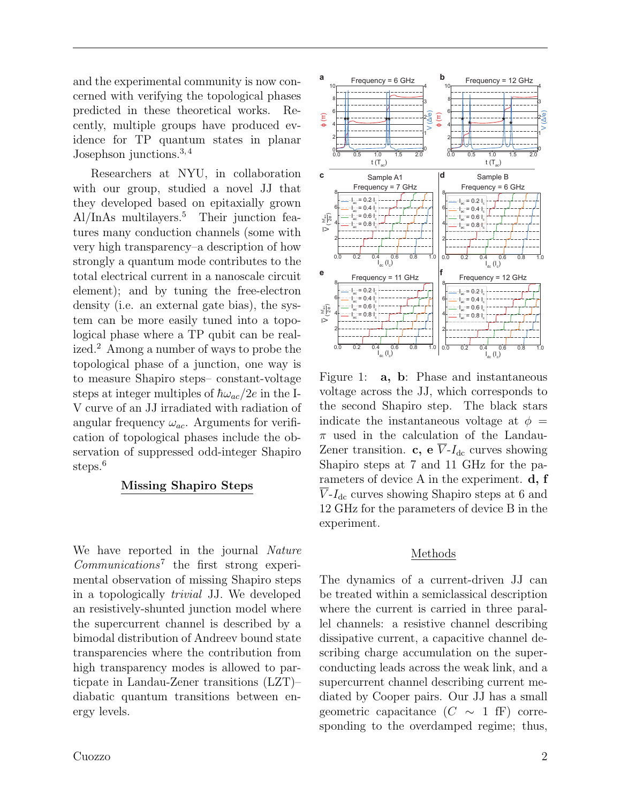and the experimental community is now concerned with verifying the topological phases predicted in these theoretical works. Recently, multiple groups have produced evidence for TP quantum states in planar Josephson junctions.3, 4

Researchers at NYU, in collaboration with our group, studied a novel JJ that they developed based on epitaxially grown  $Al/InAs$  multilayers.<sup>5</sup> Their junction features many conduction channels (some with very high transparency–a description of how strongly a quantum mode contributes to the total electrical current in a nanoscale circuit element); and by tuning the free-electron density (i.e. an external gate bias), the system can be more easily tuned into a topological phase where a TP qubit can be realized.<sup>2</sup> Among a number of ways to probe the topological phase of a junction, one way is to measure Shapiro steps– constant-voltage steps at integer multiples of  $\hbar\omega_{ac}/2e$  in the I-V curve of an JJ irradiated with radiation of angular frequency  $\omega_{ac}$ . Arguments for verification of topological phases include the observation of suppressed odd-integer Shapiro steps.<sup>6</sup>

### Missing Shapiro Steps

We have reported in the journal Nature Communications<sup>7</sup> the first strong experimental observation of missing Shapiro steps in a topologically trivial JJ. We developed an resistively-shunted junction model where the supercurrent channel is described by a bimodal distribution of Andreev bound state transparencies where the contribution from high transparency modes is allowed to particpate in Landau-Zener transitions (LZT)– diabatic quantum transitions between energy levels.



Figure 1: a, b: Phase and instantaneous voltage across the JJ, which corresponds to the second Shapiro step. The black stars indicate the instantaneous voltage at  $\phi =$  $\pi$  used in the calculation of the Landau-Zener transition. c, e  $\overline{V}$ - $I_{dc}$  curves showing Shapiro steps at 7 and 11 GHz for the parameters of device A in the experiment. d, f  $V-I_{\text{dc}}$  curves showing Shapiro steps at 6 and 12 GHz for the parameters of device B in the experiment.

#### Methods

The dynamics of a current-driven JJ can be treated within a semiclassical description where the current is carried in three parallel channels: a resistive channel describing dissipative current, a capacitive channel describing charge accumulation on the superconducting leads across the weak link, and a supercurrent channel describing current mediated by Cooper pairs. Our JJ has a small geometric capacitance  $(C \sim 1 \text{ ff})$  corresponding to the overdamped regime; thus,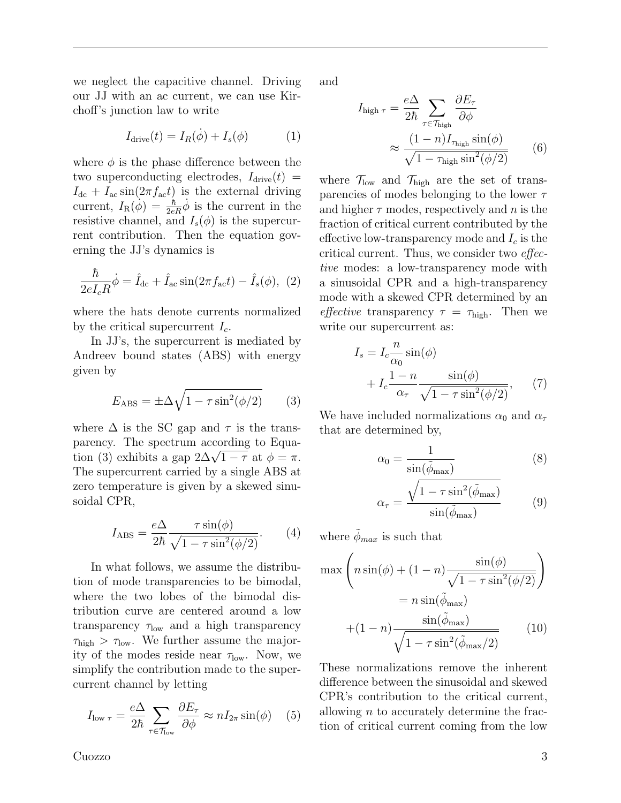we neglect the capacitive channel. Driving our JJ with an ac current, we can use Kirchoff's junction law to write

$$
I_{\text{drive}}(t) = I_R(\dot{\phi}) + I_s(\phi) \tag{1}
$$

where  $\phi$  is the phase difference between the two superconducting electrodes,  $I_{\text{drive}}(t) =$  $I_{\text{dc}} + I_{\text{ac}} \sin(2\pi f_{\text{ac}}t)$  is the external driving current,  $I_{\rm R}(\phi) = \frac{\hbar}{2eR}\dot{\phi}$  is the current in the resistive channel, and  $I_s(\phi)$  is the supercurrent contribution. Then the equation governing the JJ's dynamics is

$$
\frac{\hbar}{2eI_cR}\dot{\phi} = \hat{I}_{\text{dc}} + \hat{I}_{\text{ac}}\sin(2\pi f_{\text{ac}}t) - \hat{I}_s(\phi), \tag{2}
$$

where the hats denote currents normalized by the critical supercurrent  $I_c$ .

In JJ's, the supercurrent is mediated by Andreev bound states (ABS) with energy given by

$$
E_{\rm ABS} = \pm \Delta \sqrt{1 - \tau \sin^2(\phi/2)} \tag{3}
$$

where  $\Delta$  is the SC gap and  $\tau$  is the transparency. The spectrum according to Equaparency. The spectrum according to Equation (3) exhibits a gap  $2\Delta\sqrt{1-\tau}$  at  $\phi=\pi$ . The supercurrent carried by a single ABS at zero temperature is given by a skewed sinusoidal CPR,

$$
I_{\rm ABS} = \frac{e\Delta}{2\hbar} \frac{\tau \sin(\phi)}{\sqrt{1 - \tau \sin^2(\phi/2)}}.
$$
 (4)

In what follows, we assume the distribution of mode transparencies to be bimodal, where the two lobes of the bimodal distribution curve are centered around a low transparency  $\tau_{\text{low}}$  and a high transparency  $\tau_{\rm high} > \tau_{\rm low}$ . We further assume the majority of the modes reside near  $\tau_{\text{low}}$ . Now, we simplify the contribution made to the supercurrent channel by letting

$$
I_{\text{low }\tau} = \frac{e\Delta}{2\hbar} \sum_{\tau \in \mathcal{T}_{\text{low}}} \frac{\partial E_{\tau}}{\partial \phi} \approx n I_{2\pi} \sin(\phi) \quad (5)
$$

and

$$
I_{\text{high }\tau} = \frac{e\Delta}{2\hbar} \sum_{\tau \in \mathcal{T}_{\text{high}}} \frac{\partial E_{\tau}}{\partial \phi}
$$

$$
\approx \frac{(1 - n)I_{\tau_{\text{high}}} \sin(\phi)}{\sqrt{1 - \tau_{\text{high}} \sin^2(\phi/2)}}
$$
(6)

where  $\mathcal{T}_{\text{low}}$  and  $\mathcal{T}_{\text{high}}$  are the set of transparencies of modes belonging to the lower  $\tau$ and higher  $\tau$  modes, respectively and n is the fraction of critical current contributed by the effective low-transparency mode and  $I_c$  is the critical current. Thus, we consider two effective modes: a low-transparency mode with a sinusoidal CPR and a high-transparency mode with a skewed CPR determined by an effective transparency  $\tau = \tau_{\text{high}}$ . Then we write our supercurrent as:

$$
I_s = I_c \frac{n}{\alpha_0} \sin(\phi)
$$
  
+ 
$$
I_c \frac{1 - n}{\alpha_\tau} \frac{\sin(\phi)}{\sqrt{1 - \tau \sin^2(\phi/2)}},
$$
 (7)

We have included normalizations  $\alpha_0$  and  $\alpha_\tau$ that are determined by,

$$
\alpha_0 = \frac{1}{\sin(\tilde{\phi}_{\text{max}})}\tag{8}
$$

$$
\alpha_{\tau} = \frac{\sqrt{1 - \tau \sin^2(\tilde{\phi}_{\text{max}})}}{\sin(\tilde{\phi}_{\text{max}})}
$$
(9)

where  $\phi_{max}$  is such that

$$
\max \left( n \sin(\phi) + (1 - n) \frac{\sin(\phi)}{\sqrt{1 - \tau \sin^2(\phi/2)}} \right)
$$

$$
= n \sin(\tilde{\phi}_{\text{max}})
$$

$$
+ (1 - n) \frac{\sin(\tilde{\phi}_{\text{max}})}{\sqrt{1 - \tau \sin^2(\tilde{\phi}_{\text{max}}/2)}} \qquad (10)
$$

These normalizations remove the inherent difference between the sinusoidal and skewed CPR's contribution to the critical current, allowing  $n$  to accurately determine the fraction of critical current coming from the low

Cuozzo 3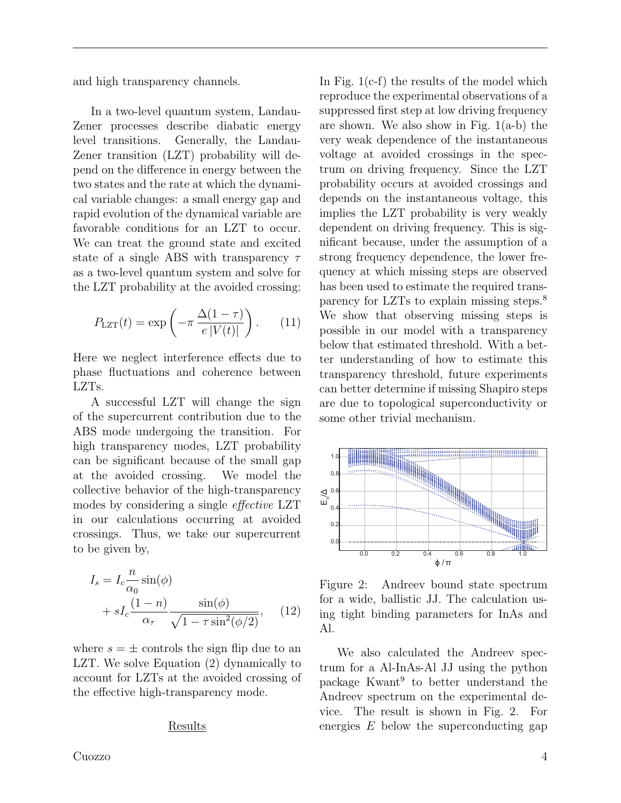and high transparency channels.

In a two-level quantum system, Landau-Zener processes describe diabatic energy level transitions. Generally, the Landau-Zener transition (LZT) probability will depend on the difference in energy between the two states and the rate at which the dynamical variable changes: a small energy gap and rapid evolution of the dynamical variable are favorable conditions for an LZT to occur. We can treat the ground state and excited state of a single ABS with transparency  $\tau$ as a two-level quantum system and solve for the LZT probability at the avoided crossing:

$$
P_{\text{LZT}}(t) = \exp\left(-\pi \frac{\Delta(1-\tau)}{e|V(t)|}\right). \tag{11}
$$

Here we neglect interference effects due to phase fluctuations and coherence between LZTs.

A successful LZT will change the sign of the supercurrent contribution due to the ABS mode undergoing the transition. For high transparency modes, LZT probability can be significant because of the small gap at the avoided crossing. We model the collective behavior of the high-transparency modes by considering a single effective LZT in our calculations occurring at avoided crossings. Thus, we take our supercurrent to be given by,

$$
I_s = I_c \frac{n}{\alpha_0} \sin(\phi)
$$
  
+  $sI_c \frac{(1-n)}{\alpha_\tau} \frac{\sin(\phi)}{\sqrt{1-\tau \sin^2(\phi/2)}},$  (12)

where  $s = \pm$  controls the sign flip due to an LZT. We solve Equation (2) dynamically to account for LZTs at the avoided crossing of the effective high-transparency mode.

#### Results

Cuozzo 4

In Fig. 1(c-f) the results of the model which reproduce the experimental observations of a suppressed first step at low driving frequency are shown. We also show in Fig.  $1(a-b)$  the very weak dependence of the instantaneous voltage at avoided crossings in the spectrum on driving frequency. Since the LZT probability occurs at avoided crossings and depends on the instantaneous voltage, this implies the LZT probability is very weakly dependent on driving frequency. This is significant because, under the assumption of a strong frequency dependence, the lower frequency at which missing steps are observed has been used to estimate the required transparency for LZTs to explain missing steps.<sup>8</sup> We show that observing missing steps is possible in our model with a transparency below that estimated threshold. With a better understanding of how to estimate this transparency threshold, future experiments can better determine if missing Shapiro steps are due to topological superconductivity or some other trivial mechanism.



Figure 2: Andreev bound state spectrum for a wide, ballistic JJ. The calculation using tight binding parameters for InAs and Al.

We also calculated the Andreev spectrum for a Al-InAs-Al JJ using the python package Kwant<sup>9</sup> to better understand the Andreev spectrum on the experimental device. The result is shown in Fig. 2. For energies  $E$  below the superconducting gap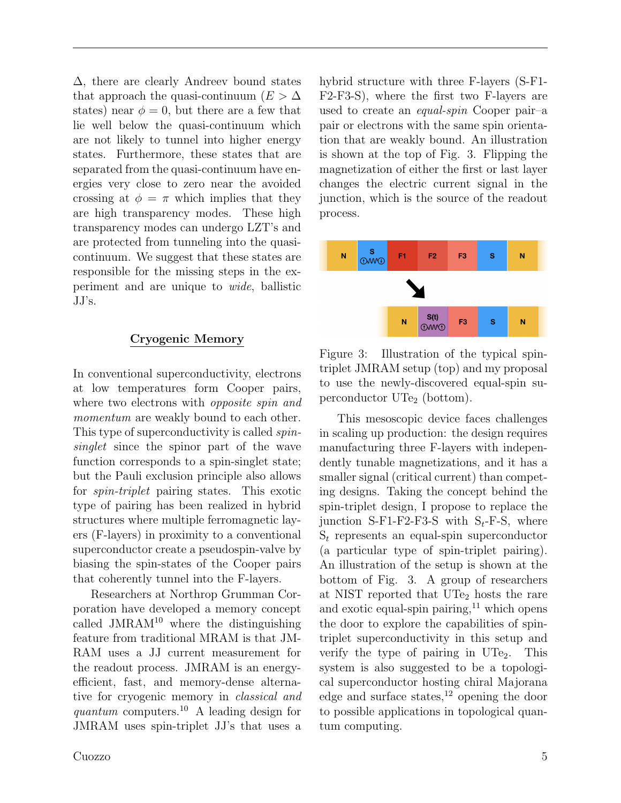∆, there are clearly Andreev bound states that approach the quasi-continuum ( $E > \Delta$ ) states) near  $\phi = 0$ , but there are a few that lie well below the quasi-continuum which are not likely to tunnel into higher energy states. Furthermore, these states that are separated from the quasi-continuum have energies very close to zero near the avoided crossing at  $\phi = \pi$  which implies that they are high transparency modes. These high transparency modes can undergo LZT's and are protected from tunneling into the quasicontinuum. We suggest that these states are responsible for the missing steps in the experiment and are unique to wide, ballistic JJ's.

## Cryogenic Memory

In conventional superconductivity, electrons at low temperatures form Cooper pairs, where two electrons with *opposite spin and* momentum are weakly bound to each other. This type of superconductivity is called *spin*singlet since the spinor part of the wave function corresponds to a spin-singlet state; but the Pauli exclusion principle also allows for spin-triplet pairing states. This exotic type of pairing has been realized in hybrid structures where multiple ferromagnetic layers (F-layers) in proximity to a conventional superconductor create a pseudospin-valve by biasing the spin-states of the Cooper pairs that coherently tunnel into the F-layers.

Researchers at Northrop Grumman Corporation have developed a memory concept called  $JMRAM<sup>10</sup>$  where the distinguishing feature from traditional MRAM is that JM-RAM uses a JJ current measurement for the readout process. JMRAM is an energyefficient, fast, and memory-dense alternative for cryogenic memory in classical and quantum computers.<sup>10</sup> A leading design for JMRAM uses spin-triplet JJ's that uses a hybrid structure with three F-layers (S-F1- F2-F3-S), where the first two F-layers are used to create an equal-spin Cooper pair–a pair or electrons with the same spin orientation that are weakly bound. An illustration is shown at the top of Fig. 3. Flipping the magnetization of either the first or last layer changes the electric current signal in the junction, which is the source of the readout process.



Figure 3: Illustration of the typical spintriplet JMRAM setup (top) and my proposal to use the newly-discovered equal-spin superconductor  $\text{UTe}_2$  (bottom).

This mesoscopic device faces challenges in scaling up production: the design requires manufacturing three F-layers with independently tunable magnetizations, and it has a smaller signal (critical current) than competing designs. Taking the concept behind the spin-triplet design, I propose to replace the junction S-F1-F2-F3-S with  $S_t$ -F-S, where  $S_t$  represents an equal-spin superconductor (a particular type of spin-triplet pairing). An illustration of the setup is shown at the bottom of Fig. 3. A group of researchers at NIST reported that  $\mathrm{UTe}_2$  hosts the rare and exotic equal-spin pairing, $^{11}$  which opens the door to explore the capabilities of spintriplet superconductivity in this setup and verify the type of pairing in  $UTe_2$ . This system is also suggested to be a topological superconductor hosting chiral Majorana edge and surface states,  $^{12}$  opening the door to possible applications in topological quantum computing.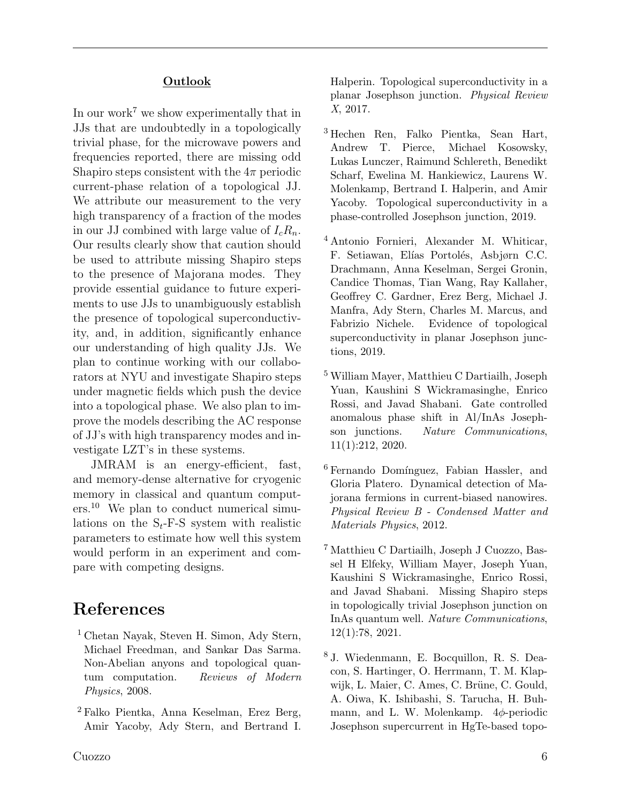### **Outlook**

In our work<sup>7</sup> we show experimentally that in JJs that are undoubtedly in a topologically trivial phase, for the microwave powers and frequencies reported, there are missing odd Shapiro steps consistent with the  $4\pi$  periodic current-phase relation of a topological JJ. We attribute our measurement to the very high transparency of a fraction of the modes in our JJ combined with large value of  $I_c R_n$ . Our results clearly show that caution should be used to attribute missing Shapiro steps to the presence of Majorana modes. They provide essential guidance to future experiments to use JJs to unambiguously establish the presence of topological superconductivity, and, in addition, significantly enhance our understanding of high quality JJs. We plan to continue working with our collaborators at NYU and investigate Shapiro steps under magnetic fields which push the device into a topological phase. We also plan to improve the models describing the AC response of JJ's with high transparency modes and investigate LZT's in these systems.

JMRAM is an energy-efficient, fast, and memory-dense alternative for cryogenic memory in classical and quantum computers.<sup>10</sup> We plan to conduct numerical simulations on the  $S_t$ -F-S system with realistic parameters to estimate how well this system would perform in an experiment and compare with competing designs.

# References

- <sup>1</sup> Chetan Nayak, Steven H. Simon, Ady Stern, Michael Freedman, and Sankar Das Sarma. Non-Abelian anyons and topological quantum computation. Reviews of Modern Physics, 2008.
- <sup>2</sup> Falko Pientka, Anna Keselman, Erez Berg, Amir Yacoby, Ady Stern, and Bertrand I.

Halperin. Topological superconductivity in a planar Josephson junction. Physical Review X, 2017.

- <sup>3</sup> Hechen Ren, Falko Pientka, Sean Hart, Andrew T. Pierce, Michael Kosowsky, Lukas Lunczer, Raimund Schlereth, Benedikt Scharf, Ewelina M. Hankiewicz, Laurens W. Molenkamp, Bertrand I. Halperin, and Amir Yacoby. Topological superconductivity in a phase-controlled Josephson junction, 2019.
- <sup>4</sup> Antonio Fornieri, Alexander M. Whiticar, F. Setiawan, Elías Portolés, Asbjørn C.C. Drachmann, Anna Keselman, Sergei Gronin, Candice Thomas, Tian Wang, Ray Kallaher, Geoffrey C. Gardner, Erez Berg, Michael J. Manfra, Ady Stern, Charles M. Marcus, and Fabrizio Nichele. Evidence of topological superconductivity in planar Josephson junctions, 2019.
- <sup>5</sup> William Mayer, Matthieu C Dartiailh, Joseph Yuan, Kaushini S Wickramasinghe, Enrico Rossi, and Javad Shabani. Gate controlled anomalous phase shift in Al/InAs Josephson junctions. Nature Communications, 11(1):212, 2020.
- <sup>6</sup> Fernando Domínguez, Fabian Hassler, and Gloria Platero. Dynamical detection of Majorana fermions in current-biased nanowires. Physical Review B - Condensed Matter and Materials Physics, 2012.
- <sup>7</sup> Matthieu C Dartiailh, Joseph J Cuozzo, Bassel H Elfeky, William Mayer, Joseph Yuan, Kaushini S Wickramasinghe, Enrico Rossi, and Javad Shabani. Missing Shapiro steps in topologically trivial Josephson junction on InAs quantum well. Nature Communications, 12(1):78, 2021.
- <sup>8</sup> J. Wiedenmann, E. Bocquillon, R. S. Deacon, S. Hartinger, O. Herrmann, T. M. Klapwijk, L. Maier, C. Ames, C. Brüne, C. Gould, A. Oiwa, K. Ishibashi, S. Tarucha, H. Buhmann, and L. W. Molenkamp.  $4\phi$ -periodic Josephson supercurrent in HgTe-based topo-